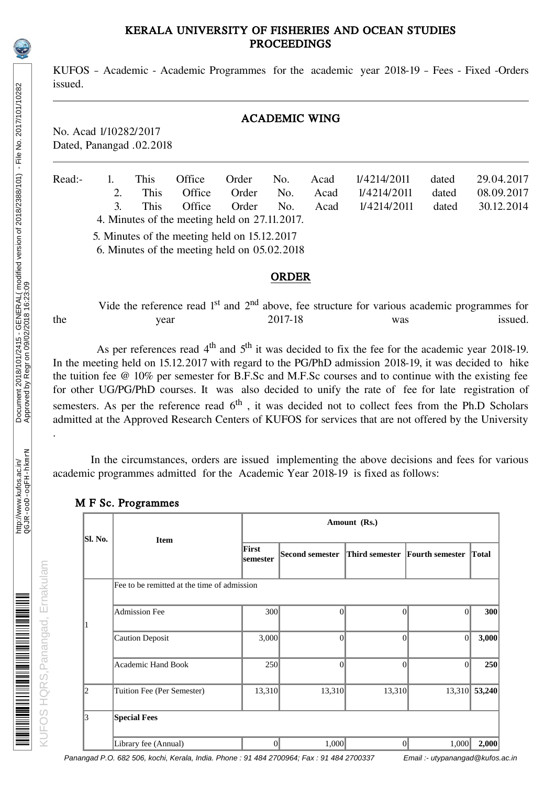### KERALA UNIVERSITY OF FISHERIES AND OCEAN STUDIES PROCEEDINGS

KUFOS – Academic - Academic Programmes for the academic year 2018-19 – Fees - Fixed -Orders issued.

### ACADEMIC WING

No. Acad 1/10282/2017 Dated, Panangad .02.2018

| Read:- |               | This.                                        | Office                                        | Order No. |     | Acad | 1/4214/2011 | dated | 29.04.2017 |
|--------|---------------|----------------------------------------------|-----------------------------------------------|-----------|-----|------|-------------|-------|------------|
|        |               | This.                                        | Office                                        | Order     | No. | Acad | 1/4214/2011 | dated | 08.09.2017 |
|        | $\mathcal{F}$ | This.                                        | Office                                        | Order     | No. | Acad | 1/4214/2011 | dated | 30.12.2014 |
|        |               |                                              | 4. Minutes of the meeting held on 27.11.2017. |           |     |      |             |       |            |
|        |               | 5. Minutes of the meeting held on 15.12.2017 |                                               |           |     |      |             |       |            |

6. Minutes of the meeting held on 05.02.2018

#### ORDER

Vide the reference read 1<sup>st</sup> and 2<sup>nd</sup> above, fee structure for various academic programmes for year 2017-18 was issued. the year 2017-18 was issued.

As per references read  $4<sup>th</sup>$  and  $5<sup>th</sup>$  it was decided to fix the fee for the academic year 2018-19. In the meeting held on 15.12.2017 with regard to the PG/PhD admission 2018-19, it was decided to hike the tuition fee @ 10% per semester for B.F.Sc and M.F.Sc courses and to continue with the existing fee for other UG/PG/PhD courses. It was also decided to unify the rate of fee for late registration of semesters. As per the reference read  $6<sup>th</sup>$ , it was decided not to collect fees from the Ph.D Scholars admitted at the Approved Research Centers of KUFOS for services that are not offered by the University

 In the circumstances, orders are issued implementing the above decisions and fees for various academic programmes admitted for the Academic Year 2018-19 is fixed as follows:

|         |                                             |                   | Amount (Rs.)           |                 |                                             |        |  |  |  |  |  |
|---------|---------------------------------------------|-------------------|------------------------|-----------------|---------------------------------------------|--------|--|--|--|--|--|
| Sl. No. | <b>Item</b>                                 | First<br>semester | <b>Second semester</b> |                 | <b>Third semester Fourth semester Total</b> |        |  |  |  |  |  |
|         | Fee to be remitted at the time of admission |                   |                        |                 |                                             |        |  |  |  |  |  |
| 1       | <b>Admission Fee</b>                        | 300               | $\Omega$               | $\theta$        | $\Omega$                                    | 300    |  |  |  |  |  |
|         | <b>Caution Deposit</b>                      | 3,000             | $\Omega$               | $\theta$        | $\theta$                                    | 3,000  |  |  |  |  |  |
|         | <b>Academic Hand Book</b>                   | 250               | $\Omega$               | $\mathbf{0}$    | $\vert 0 \vert$                             | 250    |  |  |  |  |  |
| 2       | Tuition Fee (Per Semester)                  | 13,310            | 13,310                 | 13,310          | 13,310                                      | 53,240 |  |  |  |  |  |
| 3       | <b>Special Fees</b>                         |                   |                        |                 |                                             |        |  |  |  |  |  |
|         | Library fee (Annual)                        | $\vert 0 \vert$   | 1,000                  | $\vert 0 \vert$ | 1,000                                       | 2,000  |  |  |  |  |  |

#### M F Sc. Programmes

Panangad P.O. 682 506, kochi, Kerala, India. Phone : 91 484 2700964; Fax : 91 484 2700337 Email :- utypanangad@kufos.ac.in

.

KUFOS HQRS,Panangad, Ernakulam

KUFOS HQRS, Panangad, Ernakulam

A TANAH ANG PANGHALAN ANG PANGHALAN ANG PANGHALAN ANG PANGHALAN ANG PANGHALAN ANG PANGHALAN ANG PANGHALAN ANG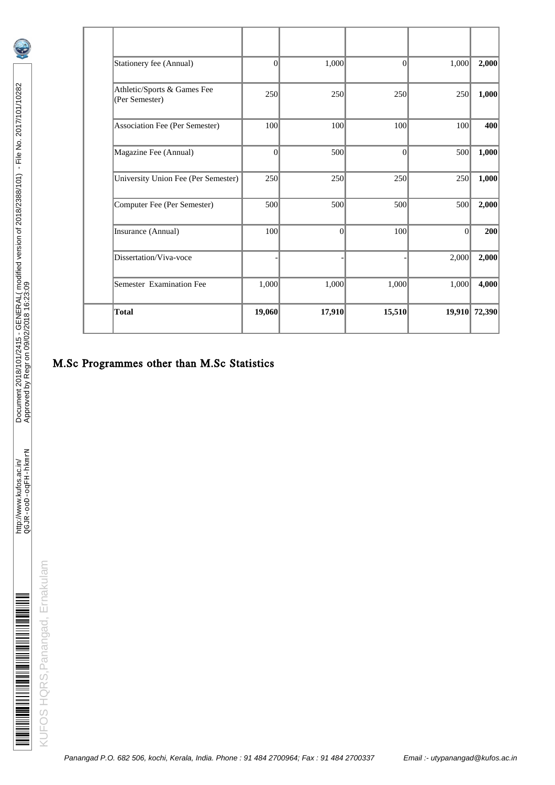| Total                                         | 19,060    | 17,910    | 15,510   | 19,910   | 72,390 |
|-----------------------------------------------|-----------|-----------|----------|----------|--------|
| Semester Examination Fee                      | 1,000     | 1,000     | 1,000    | 1,000    | 4,000  |
| Dissertation/Viva-voce                        |           |           |          | 2,000    | 2,000  |
| Insurance (Annual)                            | 100       | $\vert$ 0 | 100      | $\Omega$ | 200    |
| Computer Fee (Per Semester)                   | 500       | 500       | 500      | 500      | 2,000  |
| <b>University Union Fee (Per Semester)</b>    | 250       | 250       | 250      | 250      | 1,000  |
| Magazine Fee (Annual)                         | $\theta$  | 500       | $\theta$ | 500      | 1,000  |
| Association Fee (Per Semester)                | 100       | 100       | 100      | 100      | 400    |
| Athletic/Sports & Games Fee<br>(Per Semester) | 250       | 250       | 250      | 250      | 1,000  |
| Stationery fee (Annual)                       | $\vert$ 0 | 1,000     | $\Omega$ | 1,000    | 2,000  |
|                                               |           |           |          |          |        |

# M.Sc Programmes other than M.Sc Statistics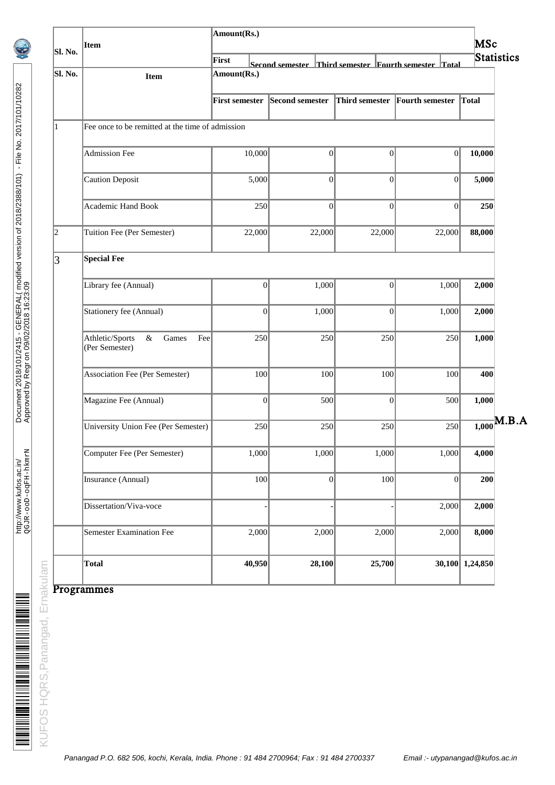| Sl. No.        | Item                                                      | Amount(Rs.)           |       |                                                      |                  |                |              |                        | MSc    |                 |            |
|----------------|-----------------------------------------------------------|-----------------------|-------|------------------------------------------------------|------------------|----------------|--------------|------------------------|--------|-----------------|------------|
|                |                                                           | First                 |       | Second semester Third semester Fourth semester Total |                  |                |              |                        |        |                 | Statistics |
| Sl. No.        | Item                                                      | Amount(Rs.)           |       |                                                      |                  |                |              |                        |        |                 |            |
|                |                                                           | <b>First semester</b> |       | <b>Second semester</b>                               |                  | Third semester |              | <b>Fourth semester</b> |        | Total           |            |
| $\mathbf{1}$   | Fee once to be remitted at the time of admission          |                       |       |                                                      |                  |                |              |                        |        |                 |            |
|                | <b>Admission Fee</b>                                      | 10,000                |       |                                                      | $\boldsymbol{0}$ |                | 0            |                        | 0      | 10,000          |            |
|                | <b>Caution Deposit</b>                                    |                       | 5,000 |                                                      | $\boldsymbol{0}$ |                | 0            |                        | 0      | 5,000           |            |
|                | <b>Academic Hand Book</b>                                 |                       | 250   |                                                      | $\overline{0}$   |                | 0            |                        | 0      | 250             |            |
| $\overline{2}$ | Tuition Fee (Per Semester)                                | 22,000                |       |                                                      | 22,000           |                | 22,000       |                        | 22,000 | 88,000          |            |
| 3              | <b>Special Fee</b>                                        |                       |       |                                                      |                  |                |              |                        |        |                 |            |
|                | Library fee (Annual)                                      |                       | 0     |                                                      | 1,000            |                | 0            |                        | 1,000  | 2,000           |            |
|                | Stationery fee (Annual)                                   |                       | 0     |                                                      | 1,000            |                | 0            |                        | 1,000  | 2,000           |            |
|                | Athletic/Sports<br>$\&$<br>Games<br>Fee<br>(Per Semester) |                       | 250   |                                                      | 250              |                | 250          |                        | 250    | 1,000           |            |
|                | <b>Association Fee (Per Semester)</b>                     |                       | 100   |                                                      | 100              |                | 100          |                        | 100    | 400             |            |
|                | Magazine Fee (Annual)                                     |                       | 0     |                                                      | 500              |                | $\mathbf{0}$ |                        | 500    | 1,000           |            |
|                | <b>University Union Fee (Per Semester)</b>                |                       | 250   |                                                      | 250              |                | 250          |                        | 250    | 1,000           | .B.A       |
|                | Computer Fee (Per Semester)                               |                       | 1,000 |                                                      | 1,000            |                | 1,000        |                        | 1,000  | 4,000           |            |
|                | Insurance (Annual)                                        |                       | 100   |                                                      | 0                |                | 100          |                        | 0      | 200             |            |
|                | Dissertation/Viva-voce                                    |                       |       |                                                      |                  |                |              |                        | 2,000  | 2,000           |            |
|                | <b>Semester Examination Fee</b>                           |                       | 2,000 |                                                      | 2,000            |                | 2,000        |                        | 2,000  | 8,000           |            |
|                | <b>Total</b>                                              | 40,950                |       |                                                      | 28,100           |                | 25,700       |                        |        | 30,100 1,24,850 |            |

Programmes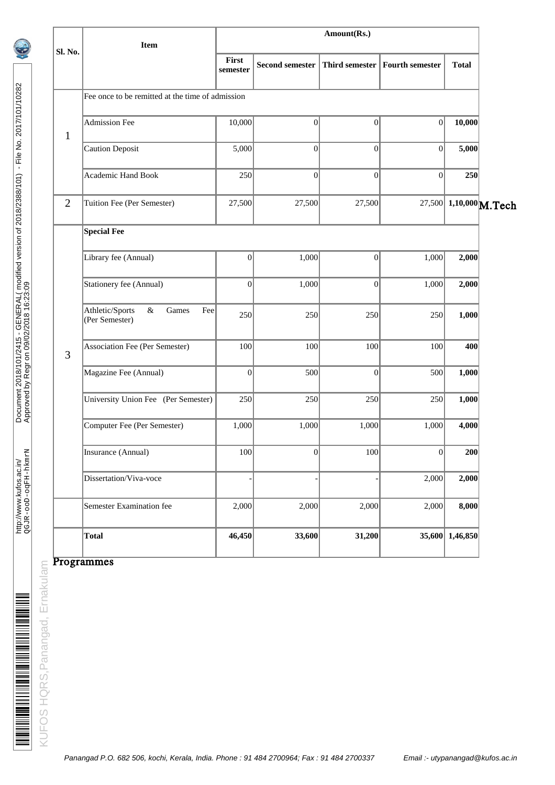|                | Item                                                   |                   |                        | Amount(Rs.)      |                                  |                        |  |  |  |  |
|----------------|--------------------------------------------------------|-------------------|------------------------|------------------|----------------------------------|------------------------|--|--|--|--|
| Sl. No.        |                                                        | First<br>semester | <b>Second semester</b> |                  | Third semester   Fourth semester | <b>Total</b>           |  |  |  |  |
|                | Fee once to be remitted at the time of admission       |                   |                        |                  |                                  |                        |  |  |  |  |
| $\mathbf{1}$   | <b>Admission Fee</b>                                   | 10,000            | $\boldsymbol{0}$       | 0                | 0                                | 10,000                 |  |  |  |  |
|                | <b>Caution Deposit</b>                                 | 5,000             | $\boldsymbol{0}$       | $\vert 0 \vert$  | 0                                | 5,000                  |  |  |  |  |
|                | <b>Academic Hand Book</b>                              | 250               | $\overline{0}$         | $\vert 0 \vert$  | $\mathbf{0}$                     | 250                    |  |  |  |  |
| $\overline{2}$ | Tuition Fee (Per Semester)                             | 27,500            | 27,500                 | 27,500           |                                  | 27,500 1,10,000 M.Tech |  |  |  |  |
|                | <b>Special Fee</b>                                     |                   |                        |                  |                                  |                        |  |  |  |  |
|                | Library fee (Annual)                                   | 0                 | 1,000                  | $\boldsymbol{0}$ | 1,000                            | 2,000                  |  |  |  |  |
|                | Stationery fee (Annual)                                | 0                 | 1,000                  | 0                | 1,000                            | 2,000                  |  |  |  |  |
|                | Athletic/Sports<br>&<br>Games<br>Fee<br>(Per Semester) | 250               | 250                    | 250              | 250                              | 1,000                  |  |  |  |  |
| 3              | <b>Association Fee (Per Semester)</b>                  | 100               | 100                    | 100              | 100                              | 400                    |  |  |  |  |
|                | Magazine Fee (Annual)                                  | 0                 | 500                    | $\vert 0 \vert$  | 500                              | 1,000                  |  |  |  |  |
|                | University Union Fee (Per Semester)                    | 250               | 250                    | 250              | 250                              | 1,000                  |  |  |  |  |
|                | Computer Fee (Per Semester)                            | 1,000             | 1,000                  | 1,000            | 1,000                            | 4,000                  |  |  |  |  |
|                | Insurance (Annual)                                     | 100               | $\mathbf{0}$           | 100              | $\vert 0 \vert$                  | 200                    |  |  |  |  |
|                | Dissertation/Viva-voce                                 |                   |                        |                  | 2,000                            | 2,000                  |  |  |  |  |
|                | Semester Examination fee                               | 2,000             | 2,000                  | 2,000            | 2,000                            | 8,000                  |  |  |  |  |
|                | <b>Total</b>                                           | 46,450            | 33,600                 | 31,200           |                                  | 35,600 1,46,850        |  |  |  |  |

### Programmes

KUFOS HQRS, Panangad, Ernakulam KUFOS HQRS,Panangad, Ernakulam <u> A MARA A MARA A MARA A MARA A MARA A MARA A MARA A MARA A MARA A MARA A MARA A MARA A MARA A MARA A MARA A MA</u>

http://www.kufos.ac.in/

http://www.kufos.ac.in/<br>QGJR-ooD-oqFiH-hkmr

QGJR-ooD-oqFH-hkmrN Approved by Regr on 09/02/2018 16:23:09

Document 2018/101/2415 - GENERAL( modified version of 2018/2388/101) - File No. 2017/101/10282

Document 2018/101/2415 - GENERAL( modified version of 2018/2388/101) - File No. 2017/101/10282<br>Approved by Regr on 09/02/2018 16:23:09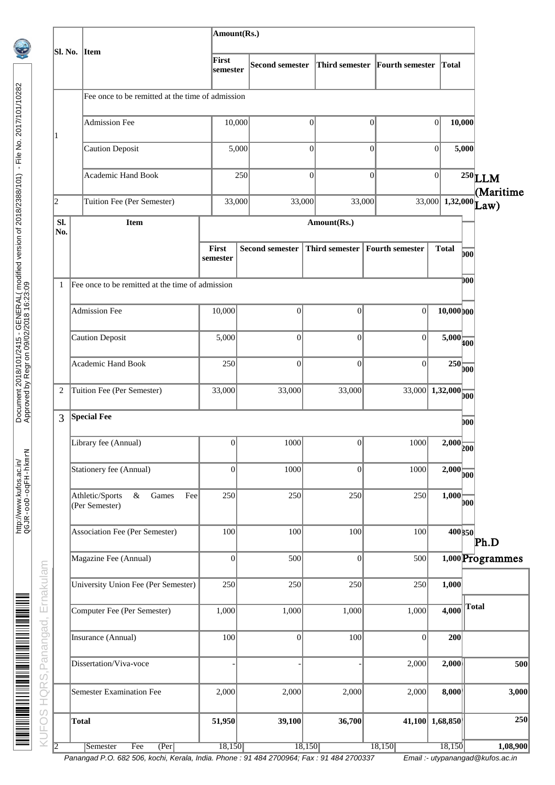|              |                                                        | Amount(Rs.)              |                        |              |                                  |                                  |                                                |
|--------------|--------------------------------------------------------|--------------------------|------------------------|--------------|----------------------------------|----------------------------------|------------------------------------------------|
| Sl. No.      | Item                                                   | First<br>semester        | <b>Second semester</b> |              | Third semester Fourth semester   | Total                            |                                                |
|              | Fee once to be remitted at the time of admission       |                          |                        |              |                                  |                                  |                                                |
|              | <b>Admission Fee</b>                                   | 10,000                   |                        | 0            | $\vert 0 \vert$                  | 0 <br>10,000                     |                                                |
| ı            | <b>Caution Deposit</b>                                 |                          | 5,000                  | $\mathbf{0}$ | $\overline{0}$                   | $\boldsymbol{0}$<br>5,000        |                                                |
|              | <b>Academic Hand Book</b>                              |                          | 250                    | $\Omega$     | $\theta$                         | 0                                | $^{250}$ LLM                                   |
| 2            | Tuition Fee (Per Semester)                             | 33,000                   |                        | 33,000       | 33,000                           |                                  | (Maritime<br>$\overline{33,000}$ 1,32,000 Law) |
| Sl.<br>No.   | Item                                                   |                          |                        | Amount(Rs.)  |                                  |                                  |                                                |
|              |                                                        | <b>First</b><br>semester | <b>Second semester</b> |              | Third semester   Fourth semester | <b>Total</b>                     | boo                                            |
| $\mathbf{1}$ | Fee once to be remitted at the time of admission       |                          |                        |              |                                  |                                  | DO 0                                           |
|              | <b>Admission Fee</b>                                   | 10,000                   | $\overline{0}$         | 0            | 0                                | $10,000$ <sub>00</sub>           |                                                |
|              | <b>Caution Deposit</b>                                 | 5,000                    | 0                      | $\Omega$     | $\vert$ 0                        | $5,000$ <sub>400</sub>           |                                                |
|              | Academic Hand Book                                     | 250                      | $\Omega$               | $\Omega$     | 0                                | $250$ <sub>00</sub>              |                                                |
| 2            | Tuition Fee (Per Semester)                             | 33,000                   | 33,000                 | 33,000       |                                  | $\overline{33,000}$ 1,32,000 00  |                                                |
| 3            | <b>Special Fee</b>                                     |                          |                        |              |                                  |                                  | boo                                            |
|              | Library fee (Annual)                                   | 0                        | 1000                   | 0            | 1000                             | $\frac{1}{2,000}$ 200            |                                                |
|              | Stationery fee (Annual)                                | 0                        | 1000                   | 0            | 1000                             | $\overline{2,000}$ <sub>00</sub> |                                                |
|              | Athletic/Sports<br>&<br>Games<br>Fee<br>(Per Semester) | 250                      | 250                    | 250          | 250                              | 1,000                            | boo                                            |
|              | <b>Association Fee (Per Semester)</b>                  | 100                      | 100                    | 100          | 100                              | 400 350                          | Ph.D                                           |
|              | Magazine Fee (Annual)                                  | 0                        | 500                    | 0            | 500                              |                                  | 1,000 Programmes                               |
|              | <b>University Union Fee (Per Semester)</b>             | 250                      | 250                    | 250          | 250                              | 1,000                            |                                                |
|              | Computer Fee (Per Semester)                            | 1,000                    | 1,000                  | 1,000        | 1,000                            | 4,000                            | Total                                          |
|              | Insurance (Annual)                                     | 100                      | 0                      | 100          | 0                                | 200                              |                                                |
|              | Dissertation/Viva-voce                                 |                          |                        |              | 2,000                            | 2,000                            | 500                                            |
|              | <b>Semester Examination Fee</b>                        | 2,000                    | 2,000                  | 2,000        | 2,000                            | 8,000                            | 3,000                                          |
|              | <b>Total</b>                                           | 51,950                   | 39,100                 | 36,700       |                                  | 41,100 1,68,850                  | 250                                            |
| 12           | (Per<br>Semester<br>Fee                                | 18,150                   |                        | 18,150       | 18,150                           | 18,150                           | 1,08,900                                       |

Panangad P.O. 682 506, kochi, Kerala, India. Phone : 91 484 2700964; Fax : 91 484 2700337 Email :- utypanangad@kufos.ac.in

http://www.kufos.ac.in/

http://www.kufos.ac.in/<br>QGJR-ooD-oqFiH-hkmr

<u> A TARAH MANAGA MANG MANG MANG MA</u>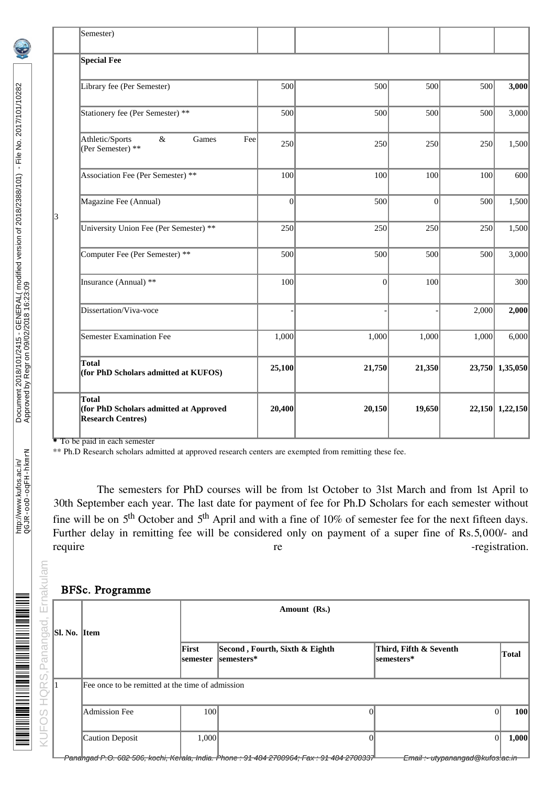|   | Semester)                                                                          |                |                 |        |       |                 |
|---|------------------------------------------------------------------------------------|----------------|-----------------|--------|-------|-----------------|
|   | <b>Special Fee</b>                                                                 |                |                 |        |       |                 |
|   | Library fee (Per Semester)                                                         | 500            | 500             | 500    | 500   | 3,000           |
|   | Stationery fee (Per Semester) **                                                   | 500            | 500             | 500    | 500   | 3,000           |
|   | Athletic/Sports<br>&<br>Games<br>Fee<br>(Per Semester) **                          | 250            | 250             | 250    | 250   | 1,500           |
|   | Association Fee (Per Semester) **                                                  | 100            | 100             | 100    | 100   | 600             |
| 3 | Magazine Fee (Annual)                                                              | $\overline{0}$ | 500             | 0      | 500   | 1,500           |
|   | University Union Fee (Per Semester) **                                             | 250            | 250             | 250    | 250   | 1,500           |
|   | Computer Fee (Per Semester) **                                                     | 500            | 500             | 500    | 500   | 3,000           |
|   | Insurance (Annual) **                                                              | 100            | $\vert 0 \vert$ | 100    |       | 300             |
|   | Dissertation/Viva-voce                                                             |                |                 |        | 2,000 | 2,000           |
|   | <b>Semester Examination Fee</b>                                                    | 1,000          | 1,000           | 1,000  | 1,000 | 6,000           |
|   | <b>Total</b><br>(for PhD Scholars admitted at KUFOS)                               | 25,100         | 21,750          | 21,350 |       | 23,750 1,35,050 |
|   | <b>Total</b><br>(for PhD Scholars admitted at Approved<br><b>Research Centres)</b> | 20,400         | 20,150          | 19,650 |       | 22,150 1,22,150 |

To be paid in each semester

\*\* Ph.D Research scholars admitted at approved research centers are exempted from remitting these fee.

 The semesters for PhD courses will be from 1st October to 31st March and from 1st April to 30th September each year. The last date for payment of fee for Ph.D Scholars for each semester without fine will be on 5<sup>th</sup> October and 5<sup>th</sup> April and with a fine of 10% of semester fee for the next fifteen days. Further delay in remitting fee will be considered only on payment of a super fine of Rs.5,000/- and require registration. require require registration.

#### BFSc. Programme

| <b>BFSc. Programme</b> |                                                  |                   |                                               |                                       |                    |  |  |  |  |
|------------------------|--------------------------------------------------|-------------------|-----------------------------------------------|---------------------------------------|--------------------|--|--|--|--|
|                        |                                                  |                   | Amount (Rs.)                                  |                                       |                    |  |  |  |  |
| $\vert$ Sl. No.        | <b>I</b> tem                                     |                   |                                               |                                       |                    |  |  |  |  |
|                        |                                                  | First<br>semester | Second, Fourth, Sixth & Eighth<br>lsemesters* | Third, Fifth & Seventh<br>lsemesters* | Total              |  |  |  |  |
|                        | Fee once to be remitted at the time of admission |                   |                                               |                                       |                    |  |  |  |  |
|                        | Admission Fee                                    | 100               |                                               | 0                                     | 100<br>$\Omega$    |  |  |  |  |
|                        | Caution Deposit                                  | 1,000             |                                               |                                       | 1,000<br>$\vert$ 0 |  |  |  |  |

<u>ministrativis in international properties</u>

nakulam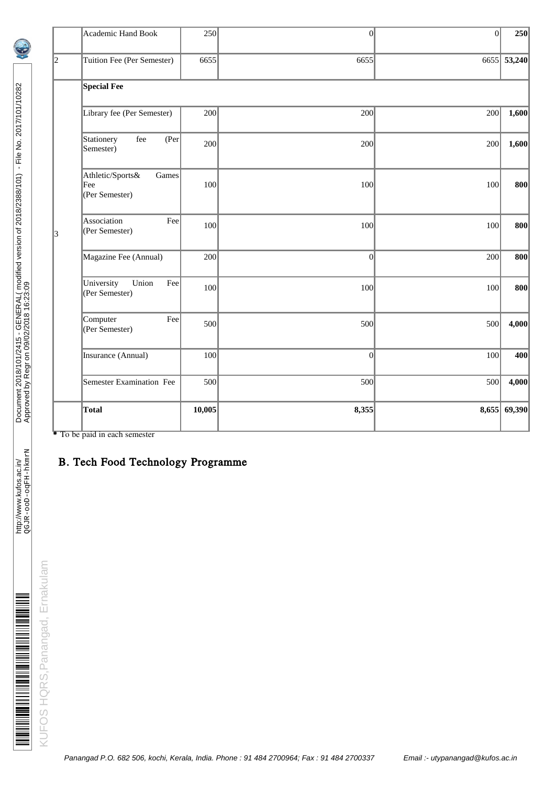|                | Academic Hand Book                                 | 250    | 0     | 0     | 250         |
|----------------|----------------------------------------------------|--------|-------|-------|-------------|
| $\overline{2}$ | Tuition Fee (Per Semester)                         | 6655   | 6655  |       | 6655 53,240 |
|                | <b>Special Fee</b>                                 |        |       |       |             |
|                | Library fee (Per Semester)                         | 200    | 200   | 200   | 1,600       |
|                | Stationery<br>fee<br>(Per<br>Semester)             | 200    | 200   | 200   | 1,600       |
|                | Athletic/Sports&<br>Games<br>Fee<br>(Per Semester) | 100    | 100   | 100   | 800         |
| 3              | Association<br>Fee<br>(Per Semester)               | 100    | 100   | 100   | 800         |
|                | Magazine Fee (Annual)                              | 200    | 0     | 200   | 800         |
|                | University<br>Union<br>Fee<br>(Per Semester)       | 100    | 100   | 100   | 800         |
|                | Computer<br>Fee<br>(Per Semester)                  | 500    | 500   | 500   | 4,000       |
|                | Insurance (Annual)                                 | 100    | 0     | 100   | 400         |
|                | Semester Examination Fee                           | 500    | 500   | 500   | 4,000       |
|                | Total                                              | 10,005 | 8,355 | 8,655 | 69,390      |

\* To be paid in each semester

### B. Tech Food Technology Programme

http://www.kufos.ac.in/

http://www.kufos.ac.in/<br>QGJR-ooD-oqFH-hkmrN

QGJR-ooD-oqFH-hkmrN Approved by Regr on 09/02/2018 16:23:09

Document 2018/101/2415 - GENERAL( modified version of 2018/2388/101) - File No. 2017/101/10282

Document 2018/101/2415 - GENERAL(modified version of 2018/2388/101) - File No. 2017/101/10282<br>Approved by Regr on 09/02/2018 16:23:09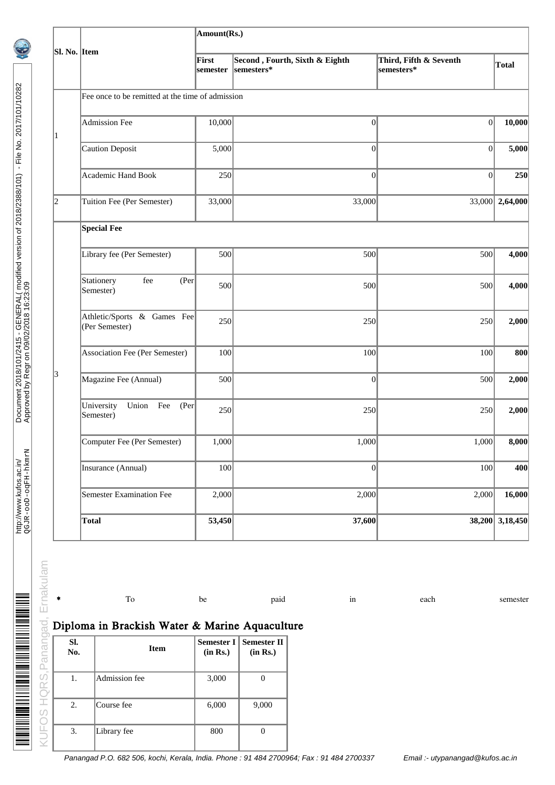|                |                                                      | Amount(Rs.)       |                                              |                                      |                 |  |  |  |  |  |  |
|----------------|------------------------------------------------------|-------------------|----------------------------------------------|--------------------------------------|-----------------|--|--|--|--|--|--|
| Sl. No. Item   |                                                      | First<br>semester | Second, Fourth, Sixth & Eighth<br>semesters* | Third, Fifth & Seventh<br>semesters* | Total           |  |  |  |  |  |  |
|                | Fee once to be remitted at the time of admission     |                   |                                              |                                      |                 |  |  |  |  |  |  |
| $\mathbf{1}$   | <b>Admission Fee</b>                                 | 10,000            | $\boldsymbol{0}$                             | 0                                    | 10,000          |  |  |  |  |  |  |
|                | <b>Caution Deposit</b>                               | 5,000             | $\overline{0}$                               | 0                                    | 5,000           |  |  |  |  |  |  |
|                | <b>Academic Hand Book</b>                            | 250               | $\overline{0}$                               | $\overline{0}$                       | 250             |  |  |  |  |  |  |
| $\overline{2}$ | Tuition Fee (Per Semester)                           | 33,000            | 33,000                                       |                                      | 33,000 2,64,000 |  |  |  |  |  |  |
|                | <b>Special Fee</b>                                   |                   |                                              |                                      |                 |  |  |  |  |  |  |
|                | Library fee (Per Semester)                           | 500               | 500                                          | 500                                  | 4,000           |  |  |  |  |  |  |
|                | $\,\mathrm{fee}$<br>Stationery<br>(Per)<br>Semester) | 500               | 500                                          | 500                                  | 4,000           |  |  |  |  |  |  |
|                | Athletic/Sports & Games Fee<br>(Per Semester)        | 250               | 250                                          | 250                                  | 2,000           |  |  |  |  |  |  |
|                | <b>Association Fee (Per Semester)</b>                | 100               | 100                                          | 100                                  | 800             |  |  |  |  |  |  |
| 3              | Magazine Fee (Annual)                                | 500               | $\boldsymbol{0}$                             | 500                                  | 2,000           |  |  |  |  |  |  |
|                | University<br>Union<br>Fee<br>(Per)<br>Semester)     | 250               | 250                                          | 250                                  | 2,000           |  |  |  |  |  |  |
|                | Computer Fee (Per Semester)                          | 1,000             | 1,000                                        | 1,000                                | 8,000           |  |  |  |  |  |  |
|                | Insurance (Annual)                                   | 100               | $\boldsymbol{0}$                             | 100                                  | 400             |  |  |  |  |  |  |
|                | <b>Semester Examination Fee</b>                      | 2,000             | 2,000                                        | 2,000                                | 16,000          |  |  |  |  |  |  |
|                | <b>Total</b>                                         | 53,450            | 37,600                                       |                                      | 38,200 3,18,450 |  |  |  |  |  |  |

\* To be paid in each semester

## Diploma in Brackish Water & Marine Aquaculture

| SI.<br>No. | <b>Item</b>   | (in Rs.) | Semester I   Semester II<br>(in Rs.) |
|------------|---------------|----------|--------------------------------------|
| 1.         | Admission fee | 3,000    |                                      |
| 2.         | Course fee    | 6,000    | 9,000                                |
| 3.         | Library fee   | 800      |                                      |

Panangad P.O. 682 506, kochi, Kerala, India. Phone : 91 484 2700964; Fax : 91 484 2700337 Email :- utypanangad@kufos.ac.in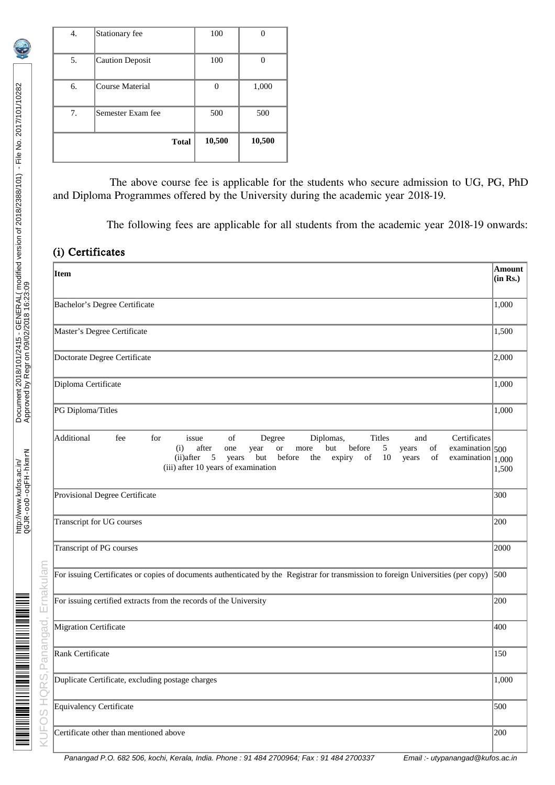| 4. | Stationary fee    | 100    |        |
|----|-------------------|--------|--------|
| 5. | Caution Deposit   | 100    |        |
| 6. | Course Material   | 0      | 1,000  |
| 7. | Semester Exam fee | 500    | 500    |
|    | <b>Total</b>      | 10,500 | 10,500 |

The above course fee is applicable for the students who secure admission to UG, PG, PhD and Diploma Programmes offered by the University during the academic year 2018-19.

The following fees are applicable for all students from the academic year 2018-19 onwards:

## (i) Certificates

| Item                                                                                                                                                                                                                                                                                                                                                                      | Amount<br>(in Rs.) |
|---------------------------------------------------------------------------------------------------------------------------------------------------------------------------------------------------------------------------------------------------------------------------------------------------------------------------------------------------------------------------|--------------------|
| Bachelor's Degree Certificate                                                                                                                                                                                                                                                                                                                                             | 1,000              |
| Master's Degree Certificate                                                                                                                                                                                                                                                                                                                                               | 1,500              |
| Doctorate Degree Certificate                                                                                                                                                                                                                                                                                                                                              | 2,000              |
| Diploma Certificate                                                                                                                                                                                                                                                                                                                                                       | 1,000              |
| PG Diploma/Titles                                                                                                                                                                                                                                                                                                                                                         | 1,000              |
| Additional<br>Certificates<br>fee<br>for<br>Diplomas,<br><b>Titles</b><br>of<br>Degree<br>and<br>issue<br>after<br>5<br>but<br>before<br>of<br>(i)<br>examination $ 500$<br>one<br>year<br>or<br>more<br>years<br>5<br>but<br>before<br>the<br>$10\,$<br>of<br>(ii)after<br>expiry<br>of<br>examination $ 1,000$<br>years<br>years<br>(iii) after 10 years of examination | 1,500              |
| Provisional Degree Certificate                                                                                                                                                                                                                                                                                                                                            | 300                |
| Transcript for UG courses                                                                                                                                                                                                                                                                                                                                                 | 200                |
| Transcript of PG courses                                                                                                                                                                                                                                                                                                                                                  | 2000               |
| For issuing Certificates or copies of documents authenticated by the Registrar for transmission to foreign Universities (per copy)                                                                                                                                                                                                                                        | 500                |
| For issuing certified extracts from the records of the University<br>200                                                                                                                                                                                                                                                                                                  |                    |
| Migration Certificate                                                                                                                                                                                                                                                                                                                                                     | 400                |
| Rank Certificate                                                                                                                                                                                                                                                                                                                                                          | 150                |
| Duplicate Certificate, excluding postage charges                                                                                                                                                                                                                                                                                                                          | 1,000              |
| Equivalency Certificate                                                                                                                                                                                                                                                                                                                                                   | 500                |
| Certificate other than mentioned above                                                                                                                                                                                                                                                                                                                                    | 200                |

<u> BERTAH MENGHAM BERTAMA DI BERTAMA DI PERSENTAN BERTA</u>

Panangad P.O. 682 506, kochi, Kerala, India. Phone : 91 484 2700964; Fax : 91 484 2700337 Email :- utypanangad@kufos.ac.in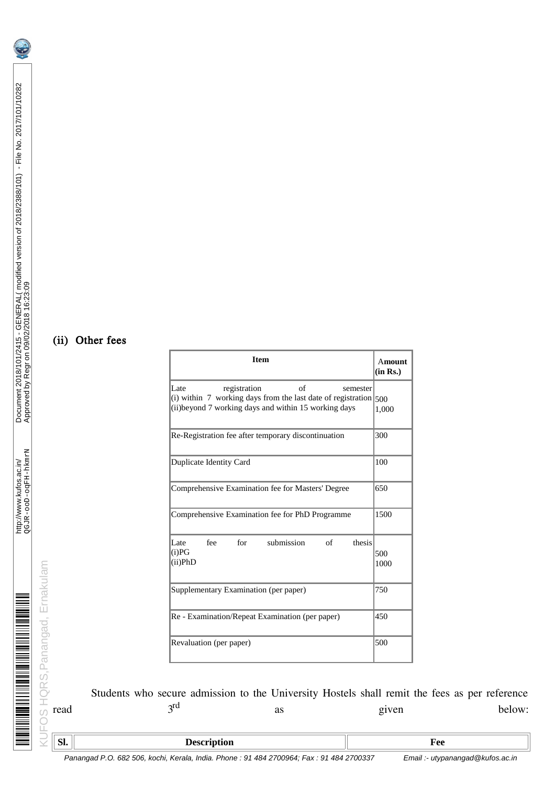# (ii) Other fees

| <b>Item</b>                                                                                                                                                                      | <b>Amount</b><br>(in Rs.) |
|----------------------------------------------------------------------------------------------------------------------------------------------------------------------------------|---------------------------|
| of<br>Late<br>registration<br>semester<br>(i) within $\,$ working days from the last date of registration $ 500\rangle$<br>(ii) beyond 7 working days and within 15 working days | 1,000                     |
| Re-Registration fee after temporary discontinuation                                                                                                                              | 300                       |
| Duplicate Identity Card                                                                                                                                                          | 100                       |
| Comprehensive Examination fee for Masters' Degree                                                                                                                                | 650                       |
| Comprehensive Examination fee for PhD Programme                                                                                                                                  | 1500                      |
| for<br>submission<br>thesis<br>fee<br>of<br>Late<br>(i)PG<br>(ii)PhD                                                                                                             | 500<br>1000               |
| Supplementary Examination (per paper)                                                                                                                                            | 750                       |
| Re - Examination/Repeat Examination (per paper)                                                                                                                                  | 450                       |
| Revaluation (per paper)                                                                                                                                                          | 500                       |

Students who secure admission to the University Hostels shall remit the fees as per reference  $3^{\text{rd}}$  as *eiven* read  $3<sup>rd</sup>$  as given below:

http://www.kufos.ac.in/

http://www.kufos.ac.in/<br>QGJR-ooD-oqFiH-hkmr